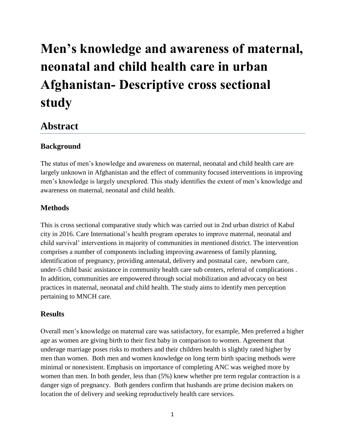# **Men's knowledge and awareness of maternal, neonatal and child health care in urban Afghanistan- Descriptive cross sectional study**

### **Abstract**

#### **Background**

The status of men's knowledge and awareness on maternal, neonatal and child health care are largely unknown in Afghanistan and the effect of community focused interventions in improving men's knowledge is largely unexplored. This study identifies the extent of men's knowledge and awareness on maternal, neonatal and child health.

#### **Methods**

This is cross sectional comparative study which was carried out in 2nd urban district of Kabul city in 2016. Care International's health program operates to improve maternal, neonatal and child survival' interventions in majority of communities in mentioned district. The intervention comprises a number of components including improving awareness of family planning, identification of pregnancy, providing antenatal, delivery and postnatal care, newborn care, under-5 child basic assistance in community health care sub centers, referral of complications . In addition, communities are empowered through social mobilization and advocacy on best practices in maternal, neonatal and child health. The study aims to identify men perception pertaining to MNCH care.

#### **Results**

Overall men's knowledge on maternal care was satisfactory, for example, Men preferred a higher age as women are giving birth to their first baby in comparison to women. Agreement that underage marriage poses risks to mothers and their children health is slightly rated higher by men than women. Both men and women knowledge on long term birth spacing methods were minimal or nonexistent. Emphasis on importance of completing ANC was weighed more by women than men. In both gender, less than (5%) knew whether pre term regular contraction is a danger sign of pregnancy. Both genders confirm that husbands are prime decision makers on location the of delivery and seeking reproductively health care services.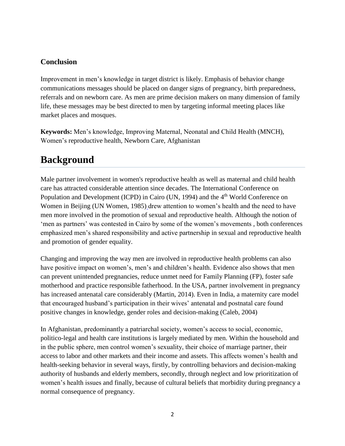#### **Conclusion**

Improvement in men's knowledge in target district is likely. Emphasis of behavior change communications messages should be placed on danger signs of pregnancy, birth preparedness, referrals and on newborn care. As men are prime decision makers on many dimension of family life, these messages may be best directed to men by targeting informal meeting places like market places and mosques.

**Keywords:** Men's knowledge, Improving Maternal, Neonatal and Child Health (MNCH), Women's reproductive health, Newborn Care, Afghanistan

# **Background**

Male partner involvement in women's reproductive health as well as maternal and child health care has attracted considerable attention since decades. The International Conference on Population and Development (ICPD) in Cairo (UN, 1994) and the 4<sup>th</sup> World Conference on Women in Beijing (UN Women, 1985) drew attention to women's health and the need to have men more involved in the promotion of sexual and reproductive health. Although the notion of 'men as partners' was contested in Cairo by some of the women's movements , both conferences emphasized men's shared responsibility and active partnership in sexual and reproductive health and promotion of gender equality.

Changing and improving the way men are involved in reproductive health problems can also have positive impact on women's, men's and children's health. Evidence also shows that men can prevent unintended pregnancies, reduce unmet need for Family Planning (FP), foster safe motherhood and practice responsible fatherhood. In the USA, partner involvement in pregnancy has increased antenatal care considerably (Martin, 2014). Even in India, a maternity care model that encouraged husband's participation in their wives' antenatal and postnatal care found positive changes in knowledge, gender roles and decision-making (Caleb, 2004)

In Afghanistan, predominantly a patriarchal society, women's access to social, economic, politico-legal and health care institutions is largely mediated by men. Within the household and in the public sphere, men control women's sexuality, their choice of marriage partner, their access to labor and other markets and their income and assets. This affects women's health and health-seeking behavior in several ways, firstly, by controlling behaviors and decision-making authority of husbands and elderly members, secondly, through neglect and low prioritization of women's health issues and finally, because of cultural beliefs that morbidity during pregnancy a normal consequence of pregnancy.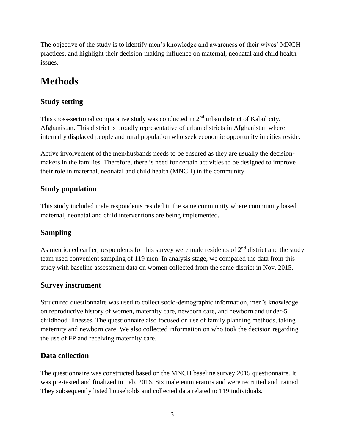The objective of the study is to identify men's knowledge and awareness of their wives' MNCH practices, and highlight their decision-making influence on maternal, neonatal and child health issues.

# **Methods**

#### **Study setting**

This cross-sectional comparative study was conducted in 2<sup>nd</sup> urban district of Kabul city, Afghanistan. This district is broadly representative of urban districts in Afghanistan where internally displaced people and rural population who seek economic opportunity in cities reside.

Active involvement of the men/husbands needs to be ensured as they are usually the decisionmakers in the families. Therefore, there is need for certain activities to be designed to improve their role in maternal, neonatal and child health (MNCH) in the community.

#### **Study population**

This study included male respondents resided in the same community where community based maternal, neonatal and child interventions are being implemented.

#### **Sampling**

As mentioned earlier, respondents for this survey were male residents of 2<sup>nd</sup> district and the study team used convenient sampling of 119 men. In analysis stage, we compared the data from this study with baseline assessment data on women collected from the same district in Nov. 2015.

#### **Survey instrument**

Structured questionnaire was used to collect socio-demographic information, men's knowledge on reproductive history of women, maternity care, newborn care, and newborn and under-5 childhood illnesses. The questionnaire also focused on use of family planning methods, taking maternity and newborn care. We also collected information on who took the decision regarding the use of FP and receiving maternity care.

#### **Data collection**

The questionnaire was constructed based on the MNCH baseline survey 2015 questionnaire. It was pre-tested and finalized in Feb. 2016. Six male enumerators and were recruited and trained. They subsequently listed households and collected data related to 119 individuals.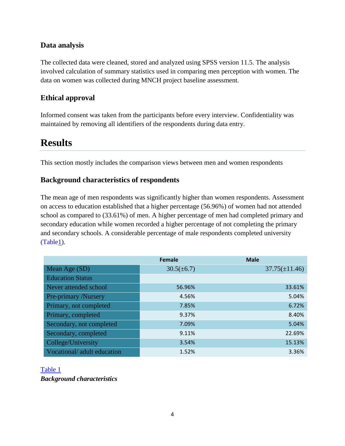#### **Data analysis**

The collected data were cleaned, stored and analyzed using SPSS version 11.5. The analysis involved calculation of summary statistics used in comparing men perception with women. The data on women was collected during MNCH project baseline assessment.

#### **Ethical approval**

Informed consent was taken from the participants before every interview. Confidentiality was maintained by removing all identifiers of the respondents during data entry.

### **Results**

This section mostly includes the comparison views between men and women respondents

#### **Background characteristics of respondents**

The mean age of men respondents was significantly higher than women respondents. Assessment on access to education established that a higher percentage (56.96%) of women had not attended school as compared to (33.61%) of men. A higher percentage of men had completed primary and secondary education while women recorded a higher percentage of not completing the primary and secondary schools. A considerable percentage of male respondents completed university [\(Table1\)](http://www.ncbi.nlm.nih.gov/pmc/articles/PMC3453489/table/T1/).

|                             | <b>Female</b>   | <b>Male</b>        |
|-----------------------------|-----------------|--------------------|
| Mean Age (SD)               | $30.5(\pm 6.7)$ | $37.75(\pm 11.46)$ |
| <b>Education Status</b>     |                 |                    |
| Never attended school       | 56.96%          | 33.61%             |
| Pre-primary /Nursery        | 4.56%           | 5.04%              |
| Primary, not completed      | 7.85%           | 6.72%              |
| Primary, completed          | 9.37%           | 8.40%              |
| Secondary, not completed    | 7.09%           | 5.04%              |
| Secondary, completed        | 9.11%           | 22.69%             |
| College/University          | 3.54%           | 15.13%             |
| Vocational/ adult education | 1.52%           | 3.36%              |

[Table 1](http://www.ncbi.nlm.nih.gov/pmc/articles/PMC3453489/table/T1/) *Background characteristics*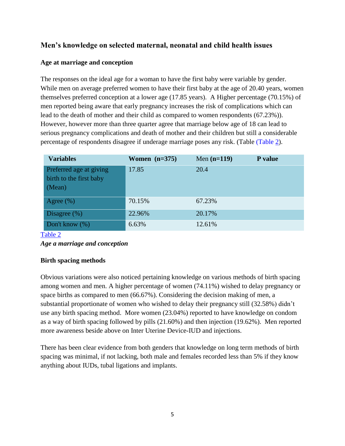#### **Men's knowledge on selected maternal, neonatal and child health issues**

#### **Age at marriage and conception**

The responses on the ideal age for a woman to have the first baby were variable by gender. While men on average preferred women to have their first baby at the age of 20.40 years, women themselves preferred conception at a lower age (17.85 years). A Higher percentage (70.15%) of men reported being aware that early pregnancy increases the risk of complications which can lead to the death of mother and their child as compared to women respondents (67.23%)). However, however more than three quarter agree that marriage below age of 18 can lead to serious pregnancy complications and death of mother and their children but still a considerable percentage of respondents disagree if underage marriage poses any risk. (Table [\(Table 2\)](http://www.ncbi.nlm.nih.gov/pmc/articles/PMC3453489/table/T2/).

| <b>Variables</b>                                             | Women $(n=375)$ | Men $(n=119)$ | P value |
|--------------------------------------------------------------|-----------------|---------------|---------|
| Preferred age at giving<br>birth to the first baby<br>(Mean) | 17.85           | 20.4          |         |
| Agree $(\%)$                                                 | 70.15%          | 67.23%        |         |
| Disagree $(\%)$                                              | 22.96%          | 20.17%        |         |
| Don't know $(\%)$                                            | 6.63%           | 12.61%        |         |

[Table 2](http://www.ncbi.nlm.nih.gov/pmc/articles/PMC3453489/table/T2/)

*Age a marriage and conception*

#### **Birth spacing methods**

Obvious variations were also noticed pertaining knowledge on various methods of birth spacing among women and men. A higher percentage of women (74.11%) wished to delay pregnancy or space births as compared to men (66.67%). Considering the decision making of men, a substantial proportionate of women who wished to delay their pregnancy still (32.58%) didn't use any birth spacing method. More women (23.04%) reported to have knowledge on condom as a way of birth spacing followed by pills (21.60%) and then injection (19.62%). Men reported more awareness beside above on Inter Uterine Device-IUD and injections.

There has been clear evidence from both genders that knowledge on long term methods of birth spacing was minimal, if not lacking, both male and females recorded less than 5% if they know anything about IUDs, tubal ligations and implants.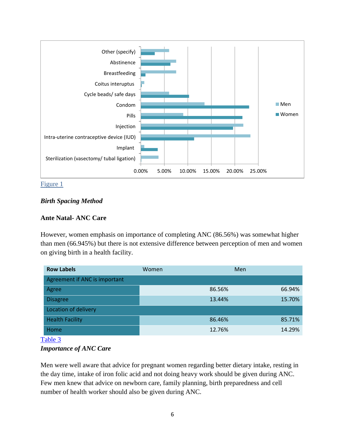



#### *Birth Spacing Method*

#### **Ante Natal- ANC Care**

However, women emphasis on importance of completing ANC (86.56%) was somewhat higher than men (66.945%) but there is not extensive difference between perception of men and women on giving birth in a health facility.

| <b>Row Labels</b>             | Women  | Men    |
|-------------------------------|--------|--------|
| Agreement if ANC is important |        |        |
| Agree                         | 86.56% | 66.94% |
| <b>Disagree</b>               | 13.44% | 15.70% |
| Location of delivery          |        |        |
| <b>Health Facility</b>        | 86.46% | 85.71% |
| Home                          | 12.76% | 14.29% |
| Table 3                       |        |        |

*Importance of ANC Care*

Men were well aware that advice for pregnant women regarding better dietary intake, resting in the day time, intake of iron folic acid and not doing heavy work should be given during ANC. Few men knew that advice on newborn care, family planning, birth preparedness and cell number of health worker should also be given during ANC.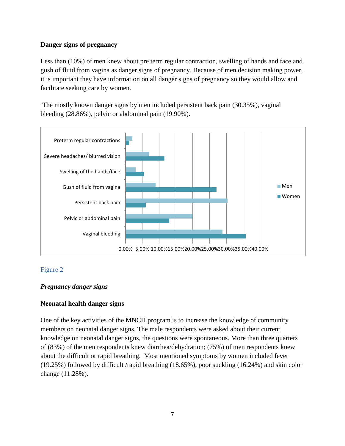#### **Danger signs of pregnancy**

Less than (10%) of men knew about pre term regular contraction, swelling of hands and face and gush of fluid from vagina as danger signs of pregnancy. Because of men decision making power, it is important they have information on all danger signs of pregnancy so they would allow and facilitate seeking care by women.

The mostly known danger signs by men included persistent back pain (30.35%), vaginal bleeding (28.86%), pelvic or abdominal pain (19.90%).



#### Figure 2

#### *Pregnancy danger signs*

#### **Neonatal health danger signs**

One of the key activities of the MNCH program is to increase the knowledge of community members on neonatal danger signs. The male respondents were asked about their current knowledge on neonatal danger signs, the questions were spontaneous. More than three quarters of (83%) of the men respondents knew diarrhea/dehydration; (75%) of men respondents knew about the difficult or rapid breathing. Most mentioned symptoms by women included fever (19.25%) followed by difficult /rapid breathing (18.65%), poor suckling (16.24%) and skin color change (11.28%).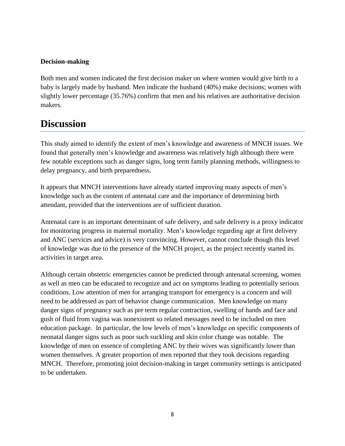#### **Decision-making**

Both men and women indicated the first decision maker on where women would give birth to a baby is largely made by husband. Men indicate the husband (40%) make decisions; women with slightly lower percentage (35.76%) confirm that men and his relatives are authoritative decision makers.

### **Discussion**

This study aimed to identify the extent of men's knowledge and awareness of MNCH issues. We found that generally men's knowledge and awareness was relatively high although there were few notable exceptions such as danger signs, long term family planning methods, willingness to delay pregnancy, and birth preparedness.

It appears that MNCH interventions have already started improving many aspects of men's knowledge such as the content of antenatal care and the importance of determining birth attendant, provided that the interventions are of sufficient duration.

Antenatal care is an important determinant of safe delivery, and safe delivery is a proxy indicator for monitoring progress in maternal mortality. Men's knowledge regarding age at first delivery and ANC (services and advice) is very convincing. However, cannot conclude though this level of knowledge was due to the presence of the MNCH project, as the project recently started its activities in target area.

Although certain obstetric emergencies cannot be predicted through antenatal screening, women as well as men can be educated to recognize and act on symptoms leading to potentially serious conditions. Low attention of men for arranging transport for emergency is a concern and will need to be addressed as part of behavior change communication. Men knowledge on many danger signs of pregnancy such as pre term regular contraction, swelling of hands and face and gush of fluid from vagina was nonexistent so related messages need to be included on men education package. In particular, the low levels of men's knowledge on specific components of neonatal danger signs such as poor such suckling and skin color change was notable. The knowledge of men on essence of completing ANC by their wives was significantly lower than women themselves. A greater proportion of men reported that they took decisions regarding MNCH. Therefore, promoting joint decision-making in target community settings is anticipated to be undertaken.